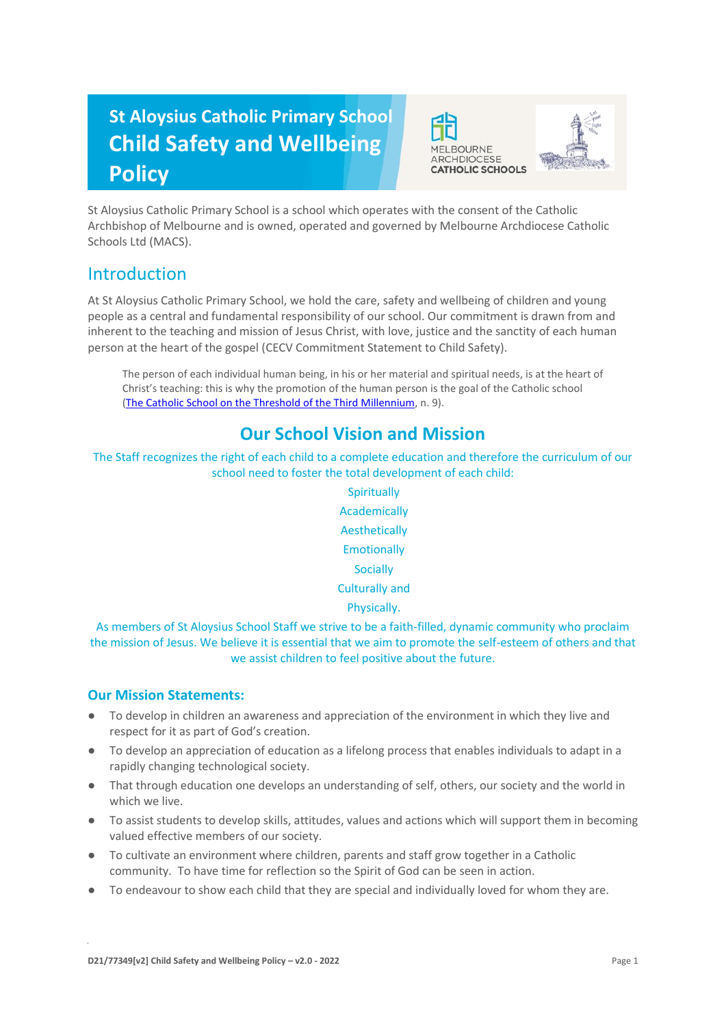# **St Aloysius Catholic Primary School Child Safety and Wellbeing Policy**





St Aloysius Catholic Primary School is a school which operates with the consent of the Catholic Archbishop of Melbourne and is owned, operated and governed by Melbourne Archdiocese Catholic Schools Ltd (MACS).

### Introduction

At St Aloysius Catholic Primary School, we hold the care, safety and wellbeing of children and young people as a central and fundamental responsibility of our school. Our commitment is drawn from and inherent to the teaching and mission of Jesus Christ, with love, justice and the sanctity of each human person at the heart of the gospel (CECV Commitment Statement to Child Safety).

The person of each individual human being, in his or her material and spiritual needs, is at the heart of Christ's teaching: this is why the promotion of the human person is the goal of the Catholic school [\(The Catholic School on the Threshold of the Third Millennium,](http://www.vatican.va/roman_curia/congregations/ccatheduc/documents/rc_con_ccatheduc_doc_27041998_school2000_en.html) n. 9).

# **Our School Vision and Mission**

The Staff recognizes the right of each child to a complete education and therefore the curriculum of our school need to foster the total development of each child:

> **Spiritually** Academically Aesthetically **Emotionally Socially** Culturally and Physically.

As members of St Aloysius School Staff we strive to be a faith-filled, dynamic community who proclaim the mission of Jesus. We believe it is essential that we aim to promote the self-esteem of others and that we assist children to feel positive about the future.

### **Our Mission Statements:**

- To develop in children an awareness and appreciation of the environment in which they live and respect for it as part of God's creation.
- To develop an appreciation of education as a lifelong process that enables individuals to adapt in a rapidly changing technological society.
- That through education one develops an understanding of self, others, our society and the world in which we live.
- To assist students to develop skills, attitudes, values and actions which will support them in becoming valued effective members of our society.
- To cultivate an environment where children, parents and staff grow together in a Catholic community. To have time for reflection so the Spirit of God can be seen in action.
- To endeavour to show each child that they are special and individually loved for whom they are.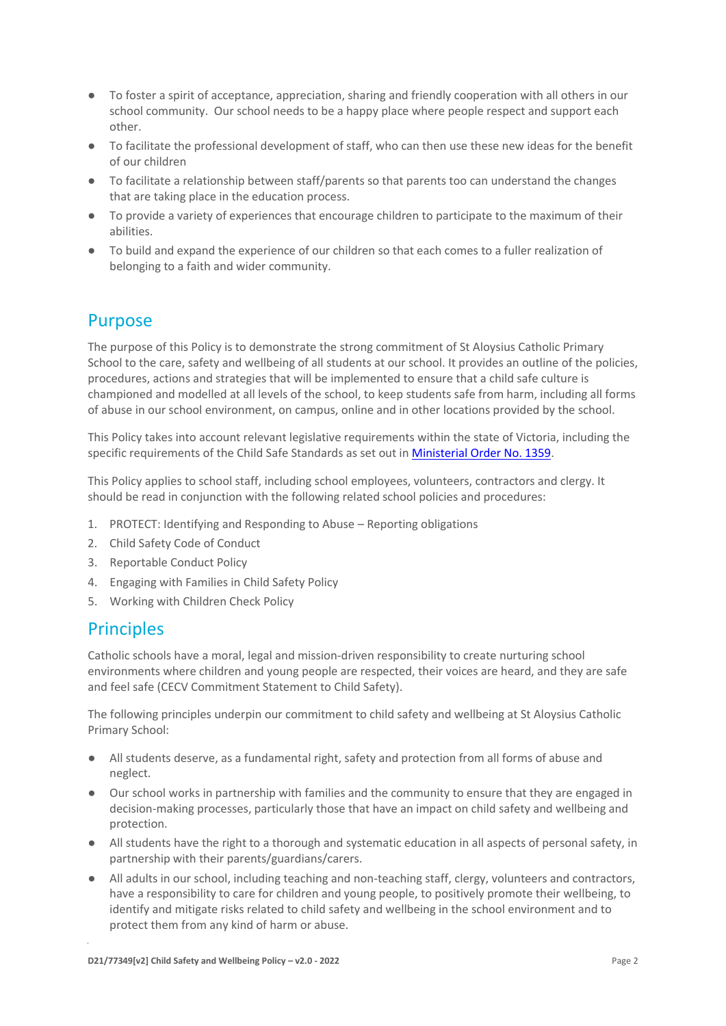- To foster a spirit of acceptance, appreciation, sharing and friendly cooperation with all others in our school community. Our school needs to be a happy place where people respect and support each other.
- To facilitate the professional development of staff, who can then use these new ideas for the benefit of our children
- To facilitate a relationship between staff/parents so that parents too can understand the changes that are taking place in the education process.
- To provide a variety of experiences that encourage children to participate to the maximum of their abilities.
- To build and expand the experience of our children so that each comes to a fuller realization of belonging to a faith and wider community.

### Purpose

The purpose of this Policy is to demonstrate the strong commitment of St Aloysius Catholic Primary School to the care, safety and wellbeing of all students at our school. It provides an outline of the policies, procedures, actions and strategies that will be implemented to ensure that a child safe culture is championed and modelled at all levels of the school, to keep students safe from harm, including all forms of abuse in our school environment, on campus, online and in other locations provided by the school.

This Policy takes into account relevant legislative requirements within the state of Victoria, including the specific requirements of the Child Safe Standards as set out in [Ministerial Order No. 1359.](https://www.vrqa.vic.gov.au/Documents/MinOrder1359childsafe.pdf)

This Policy applies to school staff, including school employees, volunteers, contractors and clergy. It should be read in conjunction with the following related school policies and procedures:

- 1. PROTECT: Identifying and Responding to Abuse Reporting obligations
- 2. Child Safety Code of Conduct
- 3. Reportable Conduct Policy
- 4. Engaging with Families in Child Safety Policy
- 5. Working with Children Check Policy

### **Principles**

Catholic schools have a moral, legal and mission-driven responsibility to create nurturing school environments where children and young people are respected, their voices are heard, and they are safe and feel safe (CECV Commitment Statement to Child Safety).

The following principles underpin our commitment to child safety and wellbeing at St Aloysius Catholic Primary School:

- All students deserve, as a fundamental right, safety and protection from all forms of abuse and neglect.
- Our school works in partnership with families and the community to ensure that they are engaged in decision-making processes, particularly those that have an impact on child safety and wellbeing and protection.
- All students have the right to a thorough and systematic education in all aspects of personal safety, in partnership with their parents/guardians/carers.
- All adults in our school, including teaching and non-teaching staff, clergy, volunteers and contractors, have a responsibility to care for children and young people, to positively promote their wellbeing, to identify and mitigate risks related to child safety and wellbeing in the school environment and to protect them from any kind of harm or abuse.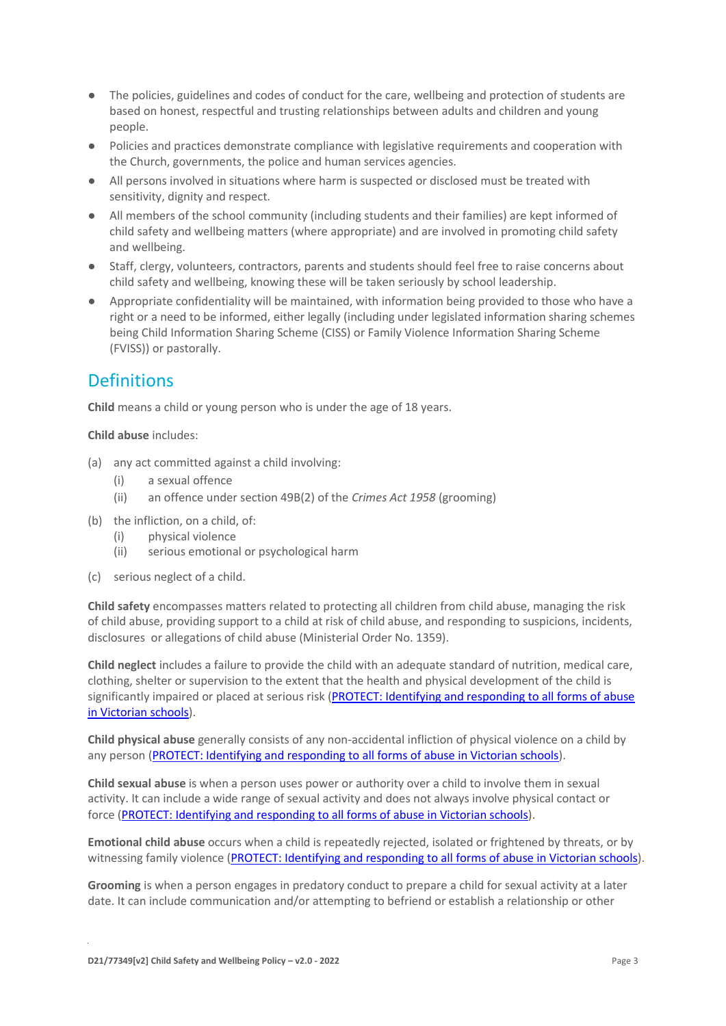- The policies, guidelines and codes of conduct for the care, wellbeing and protection of students are based on honest, respectful and trusting relationships between adults and children and young people.
- Policies and practices demonstrate compliance with legislative requirements and cooperation with the Church, governments, the police and human services agencies.
- All persons involved in situations where harm is suspected or disclosed must be treated with sensitivity, dignity and respect.
- All members of the school community (including students and their families) are kept informed of child safety and wellbeing matters (where appropriate) and are involved in promoting child safety and wellbeing.
- Staff, clergy, volunteers, contractors, parents and students should feel free to raise concerns about child safety and wellbeing, knowing these will be taken seriously by school leadership.
- Appropriate confidentiality will be maintained, with information being provided to those who have a right or a need to be informed, either legally (including under legislated information sharing schemes being Child Information Sharing Scheme (CISS) or Family Violence Information Sharing Scheme (FVISS)) or pastorally.

### **Definitions**

**Child** means a child or young person who is under the age of 18 years.

#### **Child abuse** includes:

- (a) any act committed against a child involving:
	- (i) a sexual offence
	- (ii) an offence under section 49B(2) of the *Crimes Act 1958* (grooming)
- (b) the infliction, on a child, of:
	- (i) physical violence
	- (ii) serious emotional or psychological harm
- (c) serious neglect of a child.

**Child safety** encompasses matters related to protecting all children from child abuse, managing the risk of child abuse, providing support to a child at risk of child abuse, and responding to suspicions, incidents, disclosures or allegations of child abuse (Ministerial Order No. 1359).

**Child neglect** includes a failure to provide the child with an adequate standard of nutrition, medical care, clothing, shelter or supervision to the extent that the health and physical development of the child is significantly impaired or placed at serious risk [\(PROTECT: Identifying and responding to all forms of abuse](http://www.cecv.catholic.edu.au/getmedia/ebe135a4-d1b3-48a0-81fe-50d4fc451bcd/Identifying-and-Responding-to-All-Forms-of-Abuse.aspx#page%3D27)  [in Victorian schools\)](http://www.cecv.catholic.edu.au/getmedia/ebe135a4-d1b3-48a0-81fe-50d4fc451bcd/Identifying-and-Responding-to-All-Forms-of-Abuse.aspx#page%3D27).

**Child physical abuse** generally consists of any non-accidental infliction of physical violence on a child by any person [\(PROTECT: Identifying and responding to all forms of abuse in Victorian schools\)](https://www.cecv.catholic.edu.au/getmedia/ebe135a4-d1b3-48a0-81fe-50d4fc451bcd/Identifying-and-Responding-to-All-Forms-of-Abuse.aspx#page%3D15).

**Child sexual abuse** is when a person uses power or authority over a child to involve them in sexual activity. It can include a wide range of sexual activity and does not always involve physical contact or force [\(PROTECT: Identifying and responding to all forms of abuse in Victorian schools\)](https://www.cecv.catholic.edu.au/getmedia/ebe135a4-d1b3-48a0-81fe-50d4fc451bcd/Identifying-and-Responding-to-All-Forms-of-Abuse.aspx#page%3D17).

**Emotional child abuse** occurs when a child is repeatedly rejected, isolated or frightened by threats, or by witnessing family violence [\(PROTECT: Identifying and responding to all forms of abuse in Victorian schools\)](https://www.cecv.catholic.edu.au/getmedia/ebe135a4-d1b3-48a0-81fe-50d4fc451bcd/Identifying-and-Responding-to-All-Forms-of-Abuse.aspx#page%3D26).

**Grooming** is when a person engages in predatory conduct to prepare a child for sexual activity at a later date. It can include communication and/or attempting to befriend or establish a relationship or other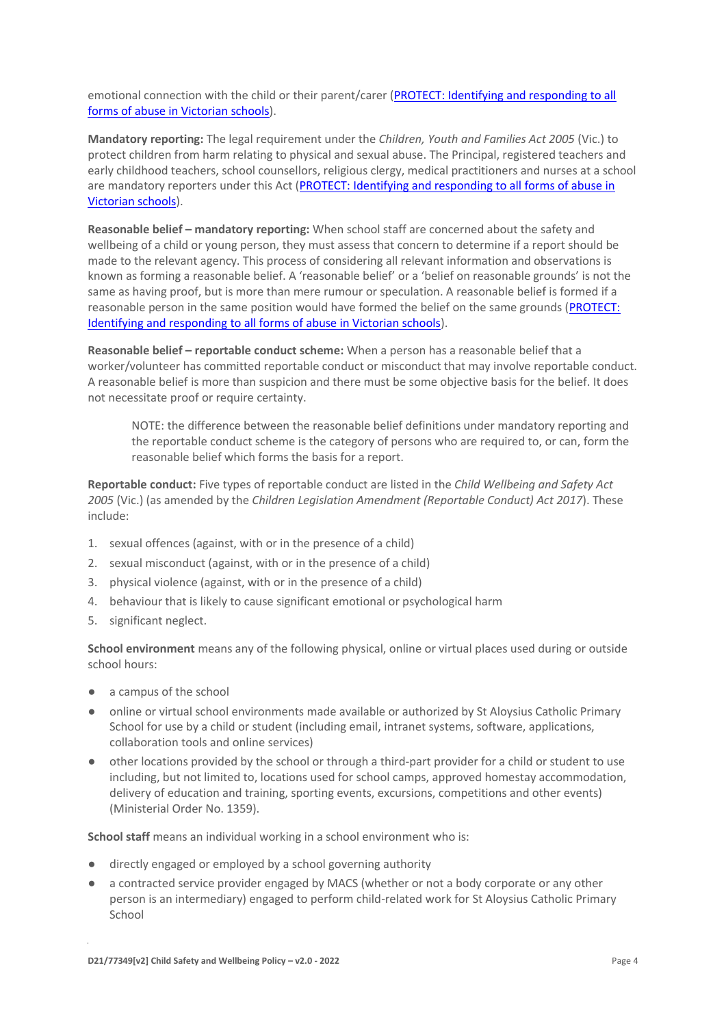emotional connection with the child or their parent/carer [\(PROTECT: Identifying and responding to all](https://www.cecv.catholic.edu.au/getmedia/ebe135a4-d1b3-48a0-81fe-50d4fc451bcd/Identifying-and-Responding-to-All-Forms-of-Abuse.aspx#page%3D20)  [forms of abuse in Victorian schools\)](https://www.cecv.catholic.edu.au/getmedia/ebe135a4-d1b3-48a0-81fe-50d4fc451bcd/Identifying-and-Responding-to-All-Forms-of-Abuse.aspx#page%3D20).

**Mandatory reporting:** The legal requirement under the *Children, Youth and Families Act 2005* (Vic.) to protect children from harm relating to physical and sexual abuse. The Principal, registered teachers and early childhood teachers, school counsellors, religious clergy, medical practitioners and nurses at a school are mandatory reporters under this Act [\(PROTECT: Identifying and responding to all forms of abuse in](http://www.cecv.catholic.edu.au/getmedia/ebe135a4-d1b3-48a0-81fe-50d4fc451bcd/Identifying-and-Responding-to-All-Forms-of-Abuse.aspx#page%3D8)  [Victorian schools\)](http://www.cecv.catholic.edu.au/getmedia/ebe135a4-d1b3-48a0-81fe-50d4fc451bcd/Identifying-and-Responding-to-All-Forms-of-Abuse.aspx#page%3D8).

**Reasonable belief – mandatory reporting:** When school staff are concerned about the safety and wellbeing of a child or young person, they must assess that concern to determine if a report should be made to the relevant agency. This process of considering all relevant information and observations is known as forming a reasonable belief. A 'reasonable belief' or a 'belief on reasonable grounds' is not the same as having proof, but is more than mere rumour or speculation. A reasonable belief is formed if a reasonable person in the same position would have formed the belief on the same grounds [\(PROTECT:](http://www.cecv.catholic.edu.au/getmedia/ebe135a4-d1b3-48a0-81fe-50d4fc451bcd/Identifying-and-Responding-to-All-Forms-of-Abuse.aspx#page%3D35)  [Identifying and responding to all forms of abuse in Victorian schools\)](http://www.cecv.catholic.edu.au/getmedia/ebe135a4-d1b3-48a0-81fe-50d4fc451bcd/Identifying-and-Responding-to-All-Forms-of-Abuse.aspx#page%3D35).

**Reasonable belief – reportable conduct scheme:** When a person has a reasonable belief that a worker/volunteer has committed reportable conduct or misconduct that may involve reportable conduct. A reasonable belief is more than suspicion and there must be some objective basis for the belief. It does not necessitate proof or require certainty.

NOTE: the difference between the reasonable belief definitions under mandatory reporting and the reportable conduct scheme is the category of persons who are required to, or can, form the reasonable belief which forms the basis for a report.

**Reportable conduct:** Five types of reportable conduct are listed in the *Child Wellbeing and Safety Act 2005* (Vic.) (as amended by the *Children Legislation Amendment (Reportable Conduct) Act 2017*). These include:

- 1. sexual offences (against, with or in the presence of a child)
- 2. sexual misconduct (against, with or in the presence of a child)
- 3. physical violence (against, with or in the presence of a child)
- 4. behaviour that is likely to cause significant emotional or psychological harm
- 5. significant neglect.

**School environment** means any of the following physical, online or virtual places used during or outside school hours:

- a campus of the school
- online or virtual school environments made available or authorized by St Aloysius Catholic Primary School for use by a child or student (including email, intranet systems, software, applications, collaboration tools and online services)
- other locations provided by the school or through a third-part provider for a child or student to use including, but not limited to, locations used for school camps, approved homestay accommodation, delivery of education and training, sporting events, excursions, competitions and other events) (Ministerial Order No. 1359).

**School staff** means an individual working in a school environment who is:

- directly engaged or employed by a school governing authority
- a contracted service provider engaged by MACS (whether or not a body corporate or any other person is an intermediary) engaged to perform child-related work for St Aloysius Catholic Primary School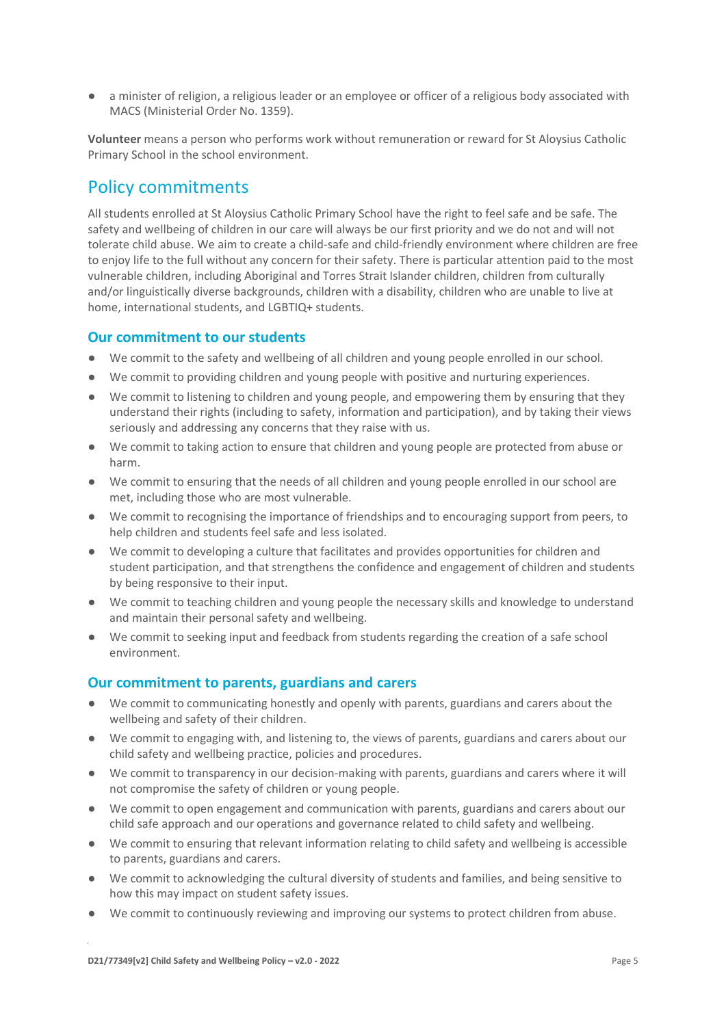● a minister of religion, a religious leader or an employee or officer of a religious body associated with MACS (Ministerial Order No. 1359).

**Volunteer** means a person who performs work without remuneration or reward for St Aloysius Catholic Primary School in the school environment.

### Policy commitments

All students enrolled at St Aloysius Catholic Primary School have the right to feel safe and be safe. The safety and wellbeing of children in our care will always be our first priority and we do not and will not tolerate child abuse. We aim to create a child-safe and child-friendly environment where children are free to enjoy life to the full without any concern for their safety. There is particular attention paid to the most vulnerable children, including Aboriginal and Torres Strait Islander children, children from culturally and/or linguistically diverse backgrounds, children with a disability, children who are unable to live at home, international students, and LGBTIQ+ students.

#### **Our commitment to our students**

- We commit to the safety and wellbeing of all children and young people enrolled in our school.
- We commit to providing children and young people with positive and nurturing experiences.
- We commit to listening to children and young people, and empowering them by ensuring that they understand their rights (including to safety, information and participation), and by taking their views seriously and addressing any concerns that they raise with us.
- We commit to taking action to ensure that children and young people are protected from abuse or harm.
- We commit to ensuring that the needs of all children and young people enrolled in our school are met, including those who are most vulnerable.
- We commit to recognising the importance of friendships and to encouraging support from peers, to help children and students feel safe and less isolated.
- We commit to developing a culture that facilitates and provides opportunities for children and student participation, and that strengthens the confidence and engagement of children and students by being responsive to their input.
- We commit to teaching children and young people the necessary skills and knowledge to understand and maintain their personal safety and wellbeing.
- We commit to seeking input and feedback from students regarding the creation of a safe school environment.

#### **Our commitment to parents, guardians and carers**

- We commit to communicating honestly and openly with parents, guardians and carers about the wellbeing and safety of their children.
- We commit to engaging with, and listening to, the views of parents, guardians and carers about our child safety and wellbeing practice, policies and procedures.
- We commit to transparency in our decision-making with parents, guardians and carers where it will not compromise the safety of children or young people.
- We commit to open engagement and communication with parents, guardians and carers about our child safe approach and our operations and governance related to child safety and wellbeing.
- We commit to ensuring that relevant information relating to child safety and wellbeing is accessible to parents, guardians and carers.
- We commit to acknowledging the cultural diversity of students and families, and being sensitive to how this may impact on student safety issues.
- We commit to continuously reviewing and improving our systems to protect children from abuse.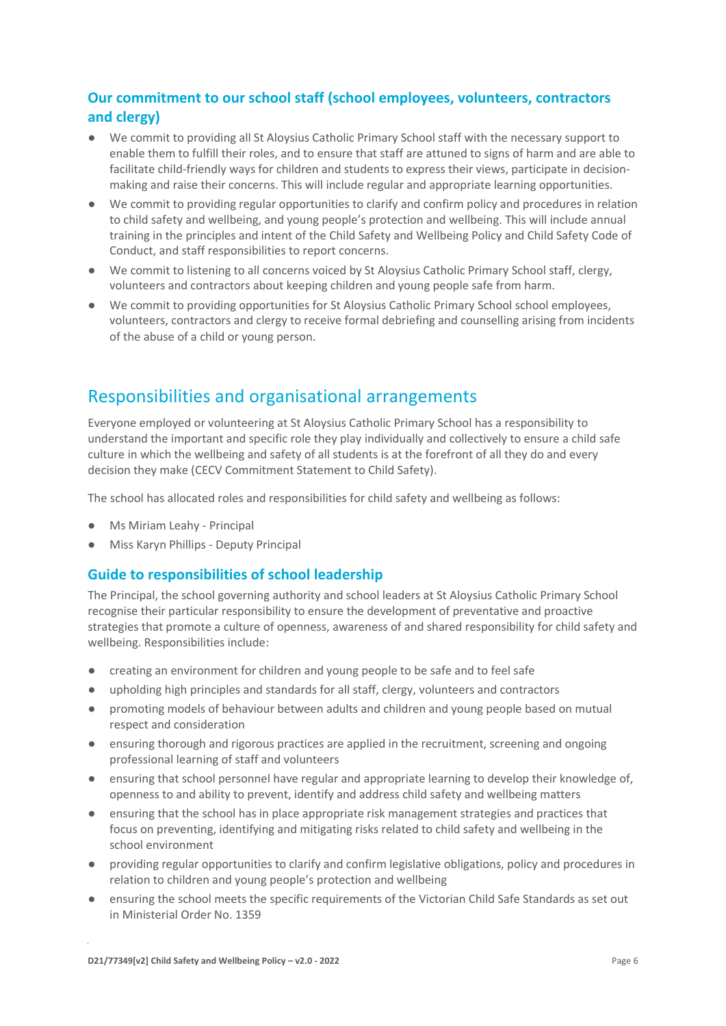### **Our commitment to our school staff (school employees, volunteers, contractors and clergy)**

- We commit to providing all St Aloysius Catholic Primary School staff with the necessary support to enable them to fulfill their roles, and to ensure that staff are attuned to signs of harm and are able to facilitate child-friendly ways for children and students to express their views, participate in decisionmaking and raise their concerns. This will include regular and appropriate learning opportunities.
- We commit to providing regular opportunities to clarify and confirm policy and procedures in relation to child safety and wellbeing, and young people's protection and wellbeing. This will include annual training in the principles and intent of the Child Safety and Wellbeing Policy and Child Safety Code of Conduct, and staff responsibilities to report concerns.
- We commit to listening to all concerns voiced by St Aloysius Catholic Primary School staff, clergy, volunteers and contractors about keeping children and young people safe from harm.
- We commit to providing opportunities for St Aloysius Catholic Primary School school employees, volunteers, contractors and clergy to receive formal debriefing and counselling arising from incidents of the abuse of a child or young person.

# Responsibilities and organisational arrangements

Everyone employed or volunteering at St Aloysius Catholic Primary School has a responsibility to understand the important and specific role they play individually and collectively to ensure a child safe culture in which the wellbeing and safety of all students is at the forefront of all they do and every decision they make (CECV Commitment Statement to Child Safety).

The school has allocated roles and responsibilities for child safety and wellbeing as follows:

- Ms Miriam Leahy Principal
- Miss Karyn Phillips Deputy Principal

#### **Guide to responsibilities of school leadership**

The Principal, the school governing authority and school leaders at St Aloysius Catholic Primary School recognise their particular responsibility to ensure the development of preventative and proactive strategies that promote a culture of openness, awareness of and shared responsibility for child safety and wellbeing. Responsibilities include:

- creating an environment for children and young people to be safe and to feel safe
- upholding high principles and standards for all staff, clergy, volunteers and contractors
- promoting models of behaviour between adults and children and young people based on mutual respect and consideration
- ensuring thorough and rigorous practices are applied in the recruitment, screening and ongoing professional learning of staff and volunteers
- ensuring that school personnel have regular and appropriate learning to develop their knowledge of, openness to and ability to prevent, identify and address child safety and wellbeing matters
- ensuring that the school has in place appropriate risk management strategies and practices that focus on preventing, identifying and mitigating risks related to child safety and wellbeing in the school environment
- providing regular opportunities to clarify and confirm legislative obligations, policy and procedures in relation to children and young people's protection and wellbeing
- ensuring the school meets the specific requirements of the Victorian Child Safe Standards as set out in Ministerial Order No. 1359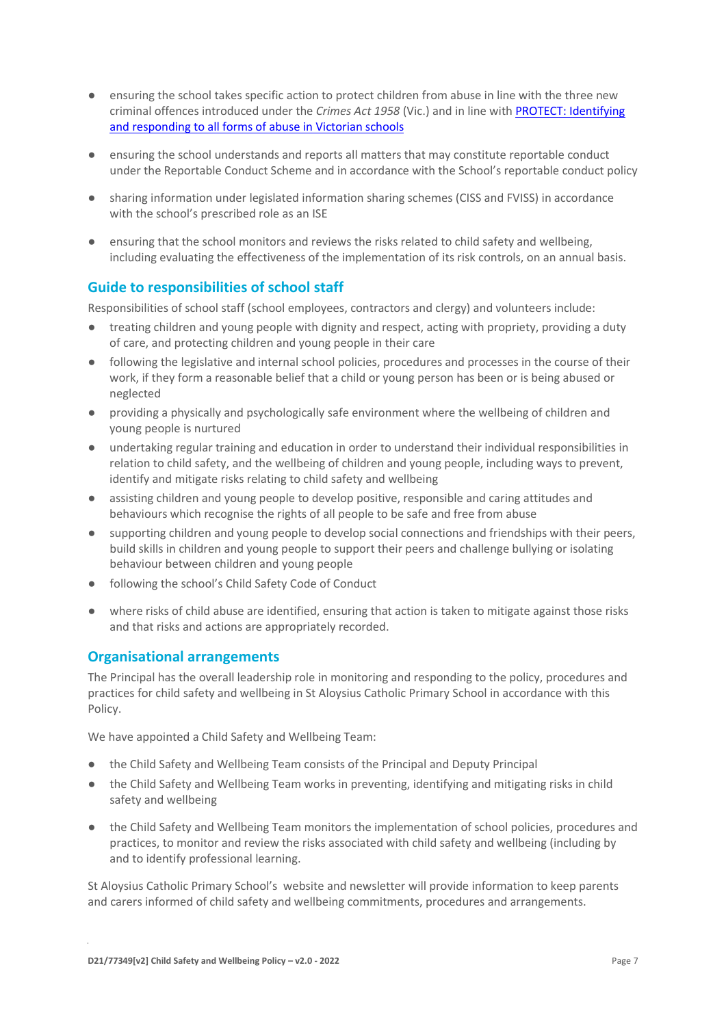- ensuring the school takes specific action to protect children from abuse in line with the three new criminal offences introduced under the *Crimes Act 1958* (Vic.) and in line wit[h PROTECT: Identifying](http://www.cecv.catholic.edu.au/getmedia/ebe135a4-d1b3-48a0-81fe-50d4fc451bcd/Identifying-and-Responding-to-All-Forms-of-Abuse.aspx)  [and responding to all forms of abuse in Victorian schools](http://www.cecv.catholic.edu.au/getmedia/ebe135a4-d1b3-48a0-81fe-50d4fc451bcd/Identifying-and-Responding-to-All-Forms-of-Abuse.aspx)
- ensuring the school understands and reports all matters that may constitute reportable conduct under the Reportable Conduct Scheme and in accordance with the School's reportable conduct policy
- sharing information under legislated information sharing schemes (CISS and FVISS) in accordance with the school's prescribed role as an ISE
- ensuring that the school monitors and reviews the risks related to child safety and wellbeing, including evaluating the effectiveness of the implementation of its risk controls, on an annual basis.

### **Guide to responsibilities of school staff**

Responsibilities of school staff (school employees, contractors and clergy) and volunteers include:

- treating children and young people with dignity and respect, acting with propriety, providing a duty of care, and protecting children and young people in their care
- following the legislative and internal school policies, procedures and processes in the course of their work, if they form a reasonable belief that a child or young person has been or is being abused or neglected
- providing a physically and psychologically safe environment where the wellbeing of children and young people is nurtured
- undertaking regular training and education in order to understand their individual responsibilities in relation to child safety, and the wellbeing of children and young people, including ways to prevent, identify and mitigate risks relating to child safety and wellbeing
- assisting children and young people to develop positive, responsible and caring attitudes and behaviours which recognise the rights of all people to be safe and free from abuse
- supporting children and young people to develop social connections and friendships with their peers, build skills in children and young people to support their peers and challenge bullying or isolating behaviour between children and young people
- following the school's Child Safety Code of Conduct
- where risks of child abuse are identified, ensuring that action is taken to mitigate against those risks and that risks and actions are appropriately recorded.

### **Organisational arrangements**

The Principal has the overall leadership role in monitoring and responding to the policy, procedures and practices for child safety and wellbeing in St Aloysius Catholic Primary School in accordance with this Policy.

We have appointed a Child Safety and Wellbeing Team:

- the Child Safety and Wellbeing Team consists of the Principal and Deputy Principal
- the Child Safety and Wellbeing Team works in preventing, identifying and mitigating risks in child safety and wellbeing
- the Child Safety and Wellbeing Team monitors the implementation of school policies, procedures and practices, to monitor and review the risks associated with child safety and wellbeing (including by and to identify professional learning.

St Aloysius Catholic Primary School's website and newsletter will provide information to keep parents and carers informed of child safety and wellbeing commitments, procedures and arrangements.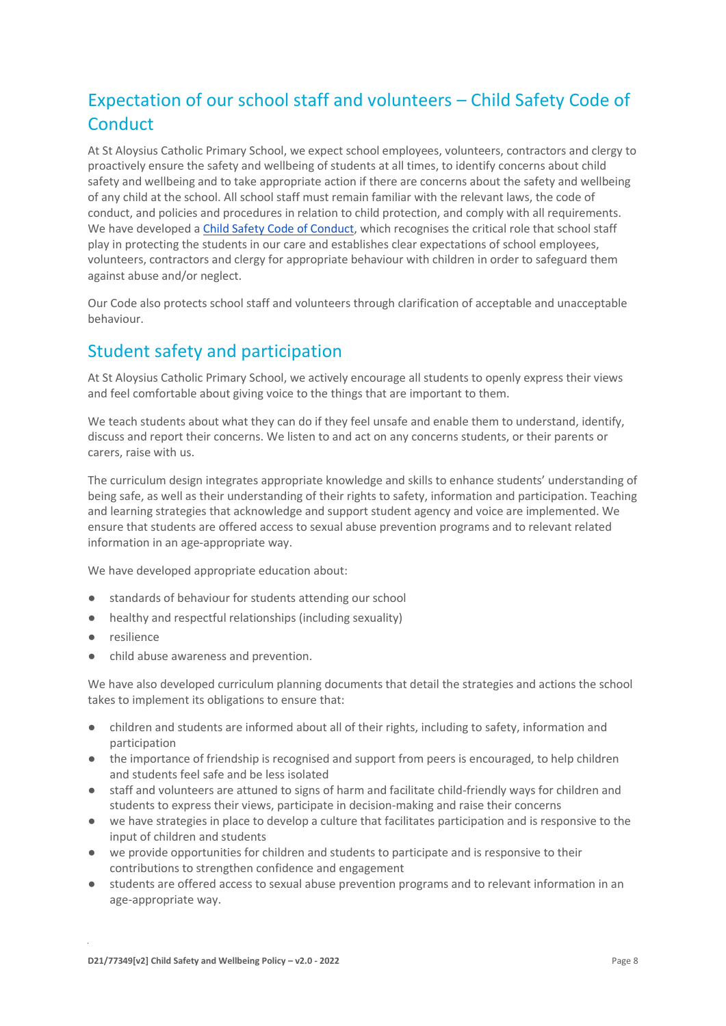# Expectation of our school staff and volunteers – Child Safety Code of **Conduct**

At St Aloysius Catholic Primary School, we expect school employees, volunteers, contractors and clergy to proactively ensure the safety and wellbeing of students at all times, to identify concerns about child safety and wellbeing and to take appropriate action if there are concerns about the safety and wellbeing of any child at the school. All school staff must remain familiar with the relevant laws, the code of conduct, and policies and procedures in relation to child protection, and comply with all requirements. We have developed [a Child Safety Code of Conduct,](https://www.saqueenscliff.catholic.edu.au/images/pdf/St_Aloysius-Child_Safe-Code-of-Conduct.docx.pdf) which recognises the critical role that school staff play in protecting the students in our care and establishes clear expectations of school employees, volunteers, contractors and clergy for appropriate behaviour with children in order to safeguard them against abuse and/or neglect.

Our Code also protects school staff and volunteers through clarification of acceptable and unacceptable behaviour.

# Student safety and participation

At St Aloysius Catholic Primary School, we actively encourage all students to openly express their views and feel comfortable about giving voice to the things that are important to them.

We teach students about what they can do if they feel unsafe and enable them to understand, identify, discuss and report their concerns. We listen to and act on any concerns students, or their parents or carers, raise with us.

The curriculum design integrates appropriate knowledge and skills to enhance students' understanding of being safe, as well as their understanding of their rights to safety, information and participation. Teaching and learning strategies that acknowledge and support student agency and voice are implemented. We ensure that students are offered access to sexual abuse prevention programs and to relevant related information in an age-appropriate way.

We have developed appropriate education about:

- standards of behaviour for students attending our school
- healthy and respectful relationships (including sexuality)
- resilience
- child abuse awareness and prevention.

We have also developed curriculum planning documents that detail the strategies and actions the school takes to implement its obligations to ensure that:

- children and students are informed about all of their rights, including to safety, information and participation
- the importance of friendship is recognised and support from peers is encouraged, to help children and students feel safe and be less isolated
- staff and volunteers are attuned to signs of harm and facilitate child-friendly ways for children and students to express their views, participate in decision-making and raise their concerns
- we have strategies in place to develop a culture that facilitates participation and is responsive to the input of children and students
- we provide opportunities for children and students to participate and is responsive to their contributions to strengthen confidence and engagement
- students are offered access to sexual abuse prevention programs and to relevant information in an age-appropriate way.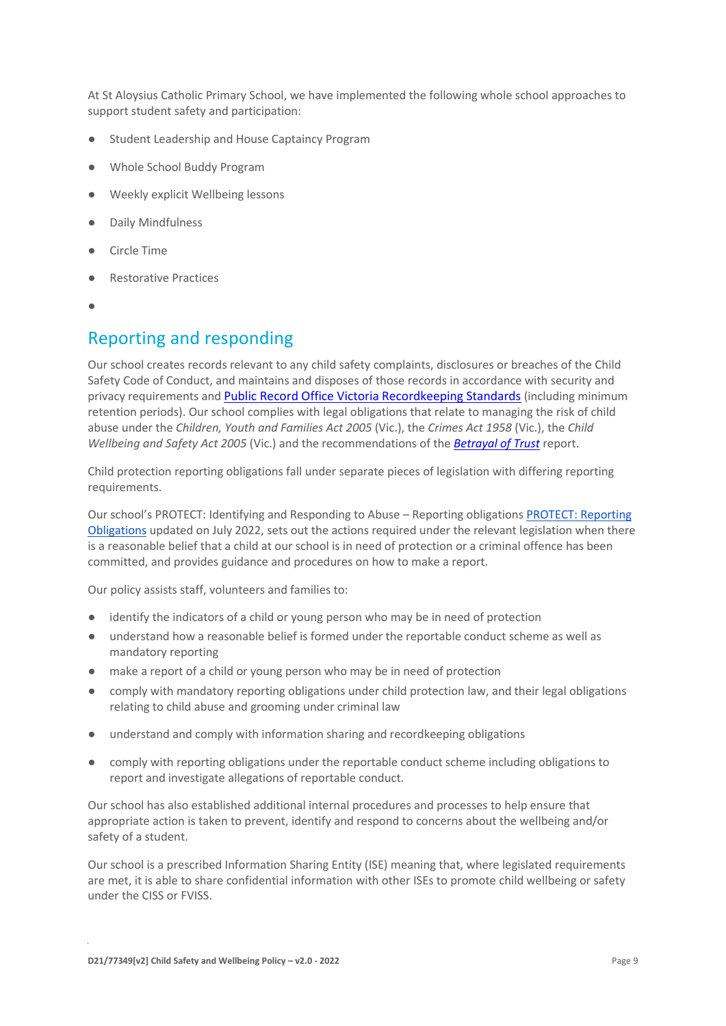At St Aloysius Catholic Primary School, we have implemented the following whole school approaches to support student safety and participation:

- Student Leadership and House Captaincy Program
- Whole School Buddy Program
- Weekly explicit Wellbeing lessons
- Daily Mindfulness
- Circle Time
- **Restorative Practices**
- ●

### Reporting and responding

Our school creates records relevant to any child safety complaints, disclosures or breaches of the Child Safety Code of Conduct, and maintains and disposes of those records in accordance with security and privacy requirements and [Public Record Office Victoria Recordkeeping Standards](https://prov.vic.gov.au/sites/default/files/files/documents/1906v1.0.pdf) (including minimum retention periods). Our school complies with legal obligations that relate to managing the risk of child abuse under the *Children, Youth and Families Act 2005* (Vic.), the *Crimes Act 1958* (Vic.), the *Child Wellbeing and Safety Act 2005* (Vic.) and the recommendations of the *[Betrayal of Trust](http://www.parliament.vic.gov.au/fcdc/article/1788)* report.

Child protection reporting obligations fall under separate pieces of legislation with differing reporting requirements.

Our school's PROTECT: Identifying and Responding to Abuse – Reporting obligations [PROTECT: Reporting](https://www.saqueenscliff.catholic.edu.au/images/pdf/St_Aloysius-PROTECT_Identifying_and_Responding_to_Abuse_Reporting_Obligations.docx.pdf)  [Obligations](https://www.saqueenscliff.catholic.edu.au/images/pdf/St_Aloysius-PROTECT_Identifying_and_Responding_to_Abuse_Reporting_Obligations.docx.pdf) updated on July 2022, sets out the actions required under the relevant legislation when there is a reasonable belief that a child at our school is in need of protection or a criminal offence has been committed, and provides guidance and procedures on how to make a report.

Our policy assists staff, volunteers and families to:

- identify the indicators of a child or young person who may be in need of protection
- understand how a reasonable belief is formed under the reportable conduct scheme as well as mandatory reporting
- make a report of a child or young person who may be in need of protection
- comply with mandatory reporting obligations under child protection law, and their legal obligations relating to child abuse and grooming under criminal law
- understand and comply with information sharing and recordkeeping obligations
- comply with reporting obligations under the reportable conduct scheme including obligations to report and investigate allegations of reportable conduct.

Our school has also established additional internal procedures and processes to help ensure that appropriate action is taken to prevent, identify and respond to concerns about the wellbeing and/or safety of a student.

Our school is a prescribed Information Sharing Entity (ISE) meaning that, where legislated requirements are met, it is able to share confidential information with other ISEs to promote child wellbeing or safety under the CISS or FVISS.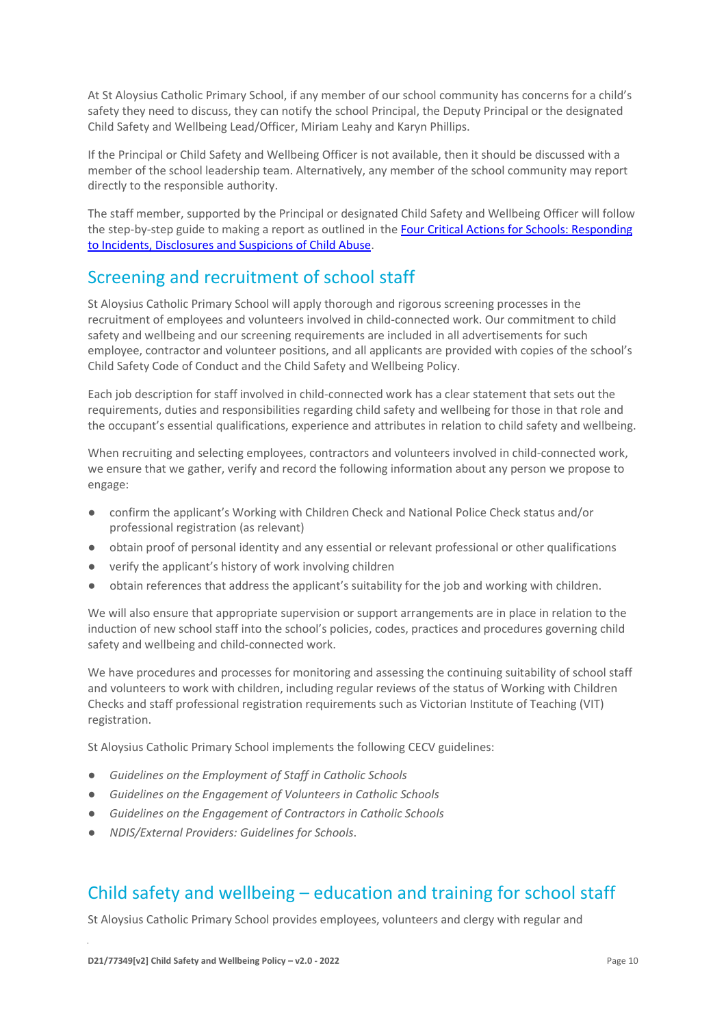At St Aloysius Catholic Primary School, if any member of our school community has concerns for a child's safety they need to discuss, they can notify the school Principal, the Deputy Principal or the designated Child Safety and Wellbeing Lead/Officer, Miriam Leahy and Karyn Phillips.

If the Principal or Child Safety and Wellbeing Officer is not available, then it should be discussed with a member of the school leadership team. Alternatively, any member of the school community may report directly to the responsible authority.

The staff member, supported by the Principal or designated Child Safety and Wellbeing Officer will follow the step-by-step guide to making a report as outlined in th[e Four Critical Actions for Schools: Responding](https://www.education.vic.gov.au/Documents/about/programs/health/protect/FourCriticalActions_ChildAbuse.pdf)  [to Incidents, Disclosures and Suspicions of Child Abuse.](https://www.education.vic.gov.au/Documents/about/programs/health/protect/FourCriticalActions_ChildAbuse.pdf)

### Screening and recruitment of school staff

St Aloysius Catholic Primary School will apply thorough and rigorous screening processes in the recruitment of employees and volunteers involved in child-connected work. Our commitment to child safety and wellbeing and our screening requirements are included in all advertisements for such employee, contractor and volunteer positions, and all applicants are provided with copies of the school's Child Safety Code of Conduct and the Child Safety and Wellbeing Policy.

Each job description for staff involved in child-connected work has a clear statement that sets out the requirements, duties and responsibilities regarding child safety and wellbeing for those in that role and the occupant's essential qualifications, experience and attributes in relation to child safety and wellbeing.

When recruiting and selecting employees, contractors and volunteers involved in child-connected work, we ensure that we gather, verify and record the following information about any person we propose to engage:

- confirm the applicant's Working with Children Check and National Police Check status and/or professional registration (as relevant)
- obtain proof of personal identity and any essential or relevant professional or other qualifications
- verify the applicant's history of work involving children
- obtain references that address the applicant's suitability for the job and working with children.

We will also ensure that appropriate supervision or support arrangements are in place in relation to the induction of new school staff into the school's policies, codes, practices and procedures governing child safety and wellbeing and child-connected work.

We have procedures and processes for monitoring and assessing the continuing suitability of school staff and volunteers to work with children, including regular reviews of the status of Working with Children Checks and staff professional registration requirements such as Victorian Institute of Teaching (VIT) registration.

St Aloysius Catholic Primary School implements the following CECV guidelines:

- *Guidelines on the Employment of Staff in Catholic Schools*
- *Guidelines on the Engagement of Volunteers in Catholic Schools*
- *Guidelines on the Engagement of Contractors in Catholic Schools*
- *NDIS/External Providers: Guidelines for Schools*.

### Child safety and wellbeing – education and training for school staff

St Aloysius Catholic Primary School provides employees, volunteers and clergy with regular and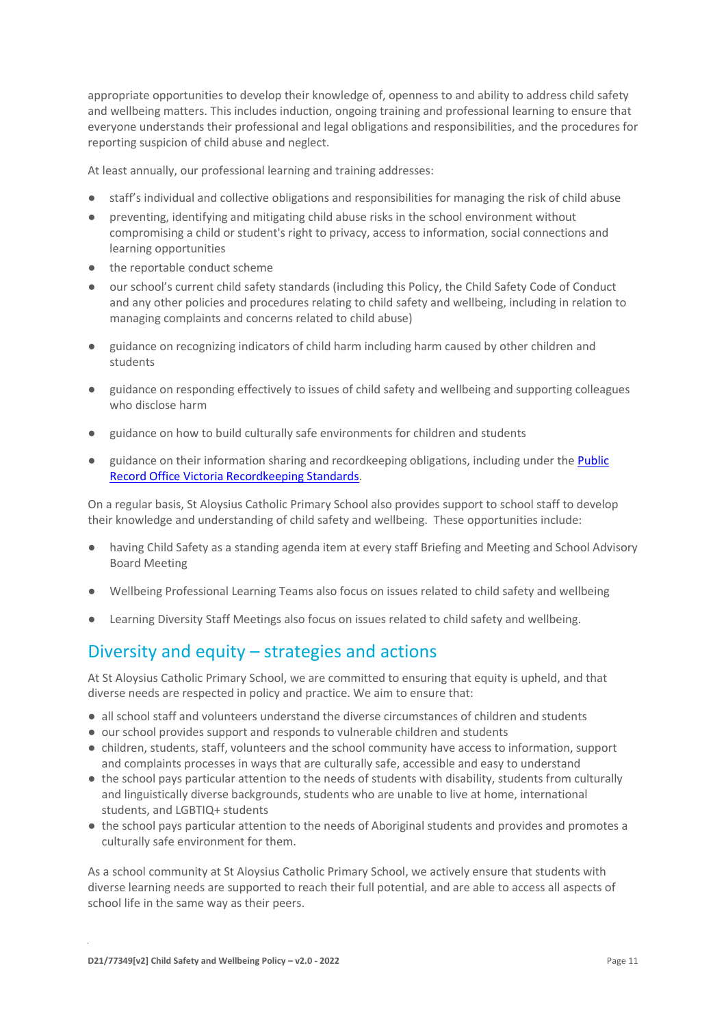appropriate opportunities to develop their knowledge of, openness to and ability to address child safety and wellbeing matters. This includes induction, ongoing training and professional learning to ensure that everyone understands their professional and legal obligations and responsibilities, and the procedures for reporting suspicion of child abuse and neglect.

At least annually, our professional learning and training addresses:

- staff's individual and collective obligations and responsibilities for managing the risk of child abuse
- preventing, identifying and mitigating child abuse risks in the school environment without compromising a child or student's right to privacy, access to information, social connections and learning opportunities
- the reportable conduct scheme
- our school's current child safety standards (including this Policy, the Child Safety Code of Conduct and any other policies and procedures relating to child safety and wellbeing, including in relation to managing complaints and concerns related to child abuse)
- guidance on recognizing indicators of child harm including harm caused by other children and students
- guidance on responding effectively to issues of child safety and wellbeing and supporting colleagues who disclose harm
- guidance on how to build culturally safe environments for children and students
- guidance on their information sharing and recordkeeping obligations, including under the Public [Record Office Victoria Recordkeeping Standards.](https://prov.vic.gov.au/sites/default/files/files/documents/1906v1.0.pdf)

On a regular basis, St Aloysius Catholic Primary School also provides support to school staff to develop their knowledge and understanding of child safety and wellbeing. These opportunities include:

- having Child Safety as a standing agenda item at every staff Briefing and Meeting and School Advisory Board Meeting
- Wellbeing Professional Learning Teams also focus on issues related to child safety and wellbeing
- Learning Diversity Staff Meetings also focus on issues related to child safety and wellbeing.

# Diversity and equity – strategies and actions

At St Aloysius Catholic Primary School, we are committed to ensuring that equity is upheld, and that diverse needs are respected in policy and practice. We aim to ensure that:

- all school staff and volunteers understand the diverse circumstances of children and students
- our school provides support and responds to vulnerable children and students
- children, students, staff, volunteers and the school community have access to information, support and complaints processes in ways that are culturally safe, accessible and easy to understand
- the school pays particular attention to the needs of students with disability, students from culturally and linguistically diverse backgrounds, students who are unable to live at home, international students, and LGBTIQ+ students
- the school pays particular attention to the needs of Aboriginal students and provides and promotes a culturally safe environment for them.

As a school community at St Aloysius Catholic Primary School, we actively ensure that students with diverse learning needs are supported to reach their full potential, and are able to access all aspects of school life in the same way as their peers.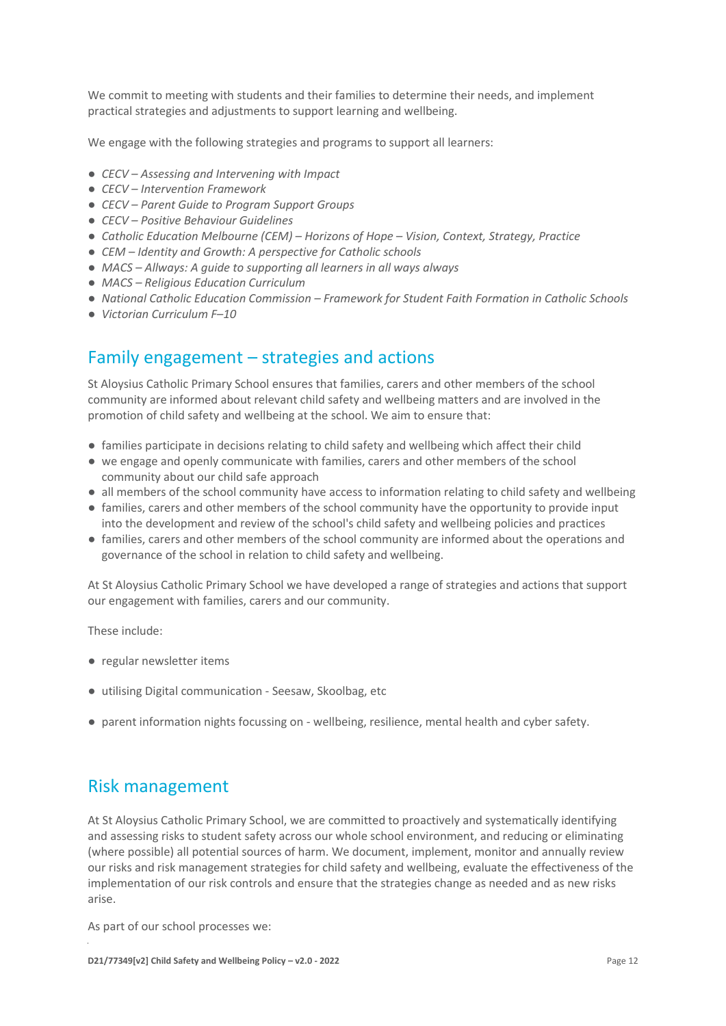We commit to meeting with students and their families to determine their needs, and implement practical strategies and adjustments to support learning and wellbeing.

We engage with the following strategies and programs to support all learners:

- *CECV – Assessing and Intervening with Impact*
- *CECV – Intervention Framework*
- *CECV – Parent Guide to Program Support Groups*
- *CECV – Positive Behaviour Guidelines*
- *Catholic Education Melbourne (CEM) – Horizons of Hope – Vision, Context, Strategy, Practice*
- *CEM – Identity and Growth: A perspective for Catholic schools*
- *MACS – Allways: A guide to supporting all learners in all ways always*
- *MACS – Religious Education Curriculum*
- *National Catholic Education Commission – Framework for Student Faith Formation in Catholic Schools*
- *Victorian Curriculum F–10*

### Family engagement – strategies and actions

St Aloysius Catholic Primary School ensures that families, carers and other members of the school community are informed about relevant child safety and wellbeing matters and are involved in the promotion of child safety and wellbeing at the school. We aim to ensure that:

- families participate in decisions relating to child safety and wellbeing which affect their child
- we engage and openly communicate with families, carers and other members of the school community about our child safe approach
- all members of the school community have access to information relating to child safety and wellbeing
- families, carers and other members of the school community have the opportunity to provide input into the development and review of the school's child safety and wellbeing policies and practices
- families, carers and other members of the school community are informed about the operations and governance of the school in relation to child safety and wellbeing.

At St Aloysius Catholic Primary School we have developed a range of strategies and actions that support our engagement with families, carers and our community.

These include:

- regular newsletter items
- utilising Digital communication Seesaw, Skoolbag, etc
- parent information nights focussing on wellbeing, resilience, mental health and cyber safety.

### Risk management

At St Aloysius Catholic Primary School, we are committed to proactively and systematically identifying and assessing risks to student safety across our whole school environment, and reducing or eliminating (where possible) all potential sources of harm. We document, implement, monitor and annually review our risks and risk management strategies for child safety and wellbeing, evaluate the effectiveness of the implementation of our risk controls and ensure that the strategies change as needed and as new risks arise.

As part of our school processes we: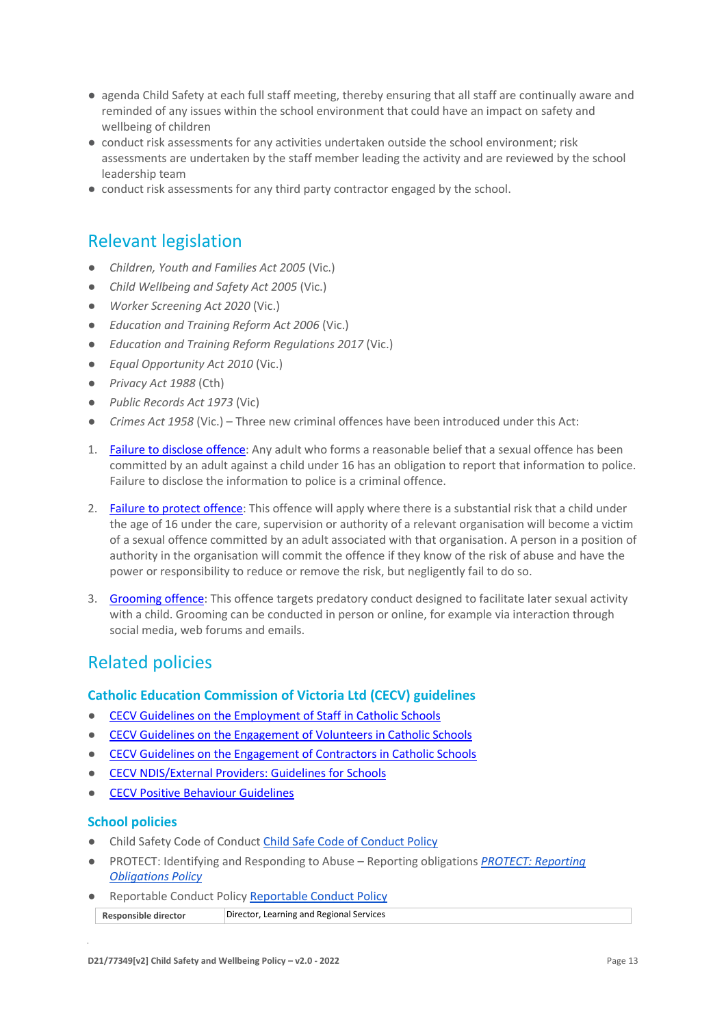- agenda Child Safety at each full staff meeting, thereby ensuring that all staff are continually aware and reminded of any issues within the school environment that could have an impact on safety and wellbeing of children
- conduct risk assessments for any activities undertaken outside the school environment; risk assessments are undertaken by the staff member leading the activity and are reviewed by the school leadership team
- conduct risk assessments for any third party contractor engaged by the school.

# Relevant legislation

- *Children, Youth and Families Act 2005* (Vic.)
- *Child Wellbeing and Safety Act 2005* (Vic.)
- *Worker Screening Act 2020* (Vic.)
- *Education and Training Reform Act 2006* (Vic.)
- *Education and Training Reform Regulations 2017* (Vic.)
- *Equal Opportunity Act 2010* (Vic.)
- *Privacy Act 1988* (Cth)
- *Public Records Act 1973* (Vic)
- *Crimes Act 1958* (Vic.) Three new criminal offences have been introduced under this Act:
- 1. [Failure to disclose offence:](https://www.justice.vic.gov.au/safer-communities/protecting-children-and-families/failure-to-disclose-offence#%3A~%3Atext%3DIn%202014%2C%20the%20law%20in%20Victoria%20was%20changed%2Coffended%20against%20a%20child%20under%2016%20in%20Victoria) Any adult who forms a reasonable belief that a sexual offence has been committed by an adult against a child under 16 has an obligation to report that information to police. Failure to disclose the information to police is a criminal offence.
- 2. [Failure to protect offence:](https://www.justice.vic.gov.au/safer-communities/protecting-children-and-families/failure-to-protect-a-new-criminal-offence-to#%3A~%3Atext%3DFailure%20to%20protect%3A%20a%20new%20criminal%20offence%20to%2Cfrom%20sexual%20abuse%20and%20exposure%20to%20sexual%20offenders) This offence will apply where there is a substantial risk that a child under the age of 16 under the care, supervision or authority of a relevant organisation will become a victim of a sexual offence committed by an adult associated with that organisation. A person in a position of authority in the organisation will commit the offence if they know of the risk of abuse and have the power or responsibility to reduce or remove the risk, but negligently fail to do so.
- 3. [Grooming offence:](https://www.justice.vic.gov.au/safer-communities/protecting-children-and-families/grooming-offence) This offence targets predatory conduct designed to facilitate later sexual activity with a child. Grooming can be conducted in person or online, for example via interaction through social media, web forums and emails.

# Related policies

#### **Catholic Education Commission of Victoria Ltd (CECV) guidelines**

- [CECV Guidelines on the Employment of Staff in Catholic Schools](https://www.cecv.catholic.edu.au/getmedia/0393d7fb-2fb9-4e48-a05e-56b703dd62eb/Employment-Guidelines.aspx)
- [CECV Guidelines on the Engagement of Volunteers in Catholic Schools](https://www.cecv.catholic.edu.au/Media-Files/IR/Policies-Guidelines/Volunteers/Guidelines-on-the-Engagement-of-Volunteers.aspx)
- [CECV Guidelines on the Engagement of Contractors in Catholic Schools](https://www.cecv.catholic.edu.au/Media-Files/IR/Policies-Guidelines/Staff,-Contractors,-Volunteers/Contractor-Guidelines.aspx)
- [CECV NDIS/External Providers: Guidelines for Schools](https://www.cecv.catholic.edu.au/getmedia/cec12bdf-5e03-4d3a-ac47-504fe084f415/NDIS-External-Providers-Guidelines.aspx?ext=.pdf)
- **[CECV Positive Behaviour Guidelines](https://www.cecv.catholic.edu.au/getmedia/bc1d235d-9a98-4bb4-b3ac-84b50fa7c639/CECV-Positive-Behaviour-Guidelines_FINAL2.aspx?ext=.pdf)**

#### **School policies**

- Child Safety Code of Conduct [Child Safe Code of Conduct Policy](https://www.saqueenscliff.catholic.edu.au/images/pdf/St_Aloysius-Child_Safe-Code-of-Conduct.docx.pdf)
- PROTECT: Identifying and Responding to Abuse Reporting obligations *[PROTECT: Reporting](https://www.saqueenscliff.catholic.edu.au/images/pdf/St_Aloysius-PROTECT_Identifying_and_Responding_to_Abuse_Reporting_Obligations.docx.pdf)  [Obligations Policy](https://www.saqueenscliff.catholic.edu.au/images/pdf/St_Aloysius-PROTECT_Identifying_and_Responding_to_Abuse_Reporting_Obligations.docx.pdf)*
- **Reportable Conduct Policy [Reportable Conduct Policy](https://www.saqueenscliff.catholic.edu.au/images/pdf/St_Aloysius-Reportable_Conduct_Policy.docx.pdf)**

**Responsible director** Director, Learning and Regional Services